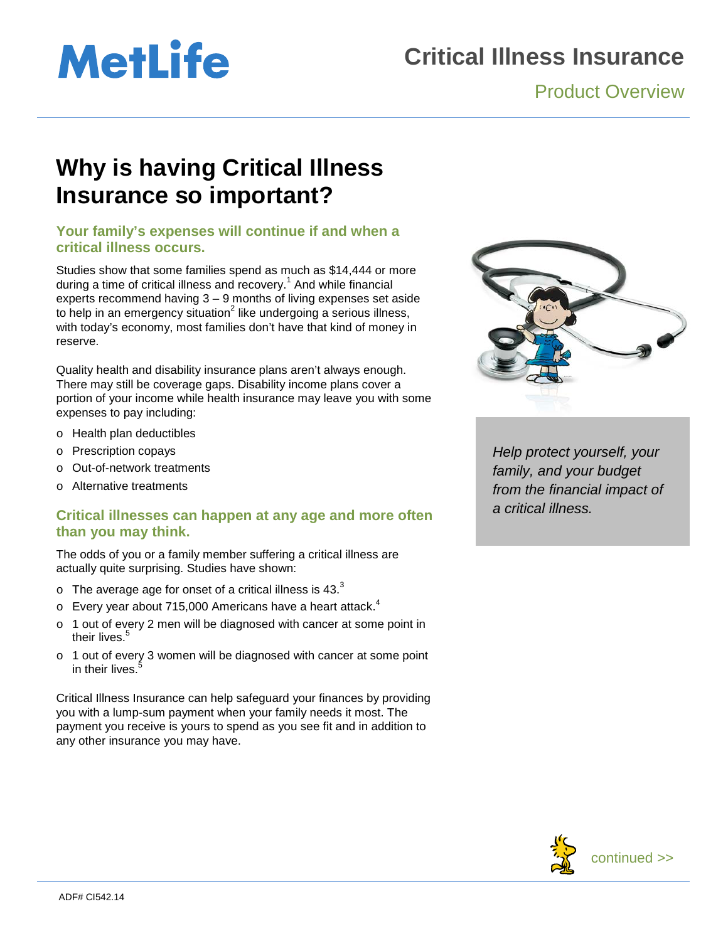# **MetLife**

### **Critical Illness Insurance**

#### Product Overview

### **Why is having Critical Illness Insurance so important?**

#### **Your family's expenses will continue if and when a critical illness occurs.**

Studies show that some families spend as much as \$14,444 or more during a time of critical illness and recovery.<sup>1</sup> And while financial experts recommend having 3 – 9 months of living expenses set aside to help in an emergency situation<sup>2</sup> like undergoing a serious illness, with today's economy, most families don't have that kind of money in reserve.

Quality health and disability insurance plans aren't always enough. There may still be coverage gaps. Disability income plans cover a portion of your income while health insurance may leave you with some expenses to pay including:

- o Health plan deductibles
- o Prescription copays
- o Out-of-network treatments
- o Alternative treatments

#### **Critical illnesses can happen at any age and more often than you may think.**

The odds of you or a family member suffering a critical illness are actually quite surprising. Studies have shown:

- $\circ$  The average age for onset of a critical illness is 43. $^3$
- $\circ$  Every year about 715,000 Americans have a heart attack.<sup>4</sup>
- o 1 out of every 2 men will be diagnosed with cancer at some point in their lives.<sup>5</sup>
- o 1 out of every 3 women will be diagnosed with cancer at some point in their lives.

Critical Illness Insurance can help safeguard your finances by providing you with a lump-sum payment when your family needs it most. The payment you receive is yours to spend as you see fit and in addition to any other insurance you may have.



*Help protect yourself, your family, and your budget from the financial impact of a critical illness.*